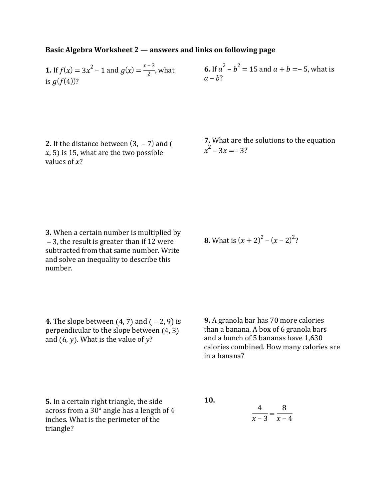## **Basic Algebra Worksheet 2 — answers and links on following page**

**1.** If 
$$
f(x) = 3x^2 - 1
$$
 and  $g(x) = \frac{x-3}{2}$ , what  
is  $g(f(4))$ ?

**6.** If 
$$
a^2 - b^2 = 15
$$
 and  $a + b = -5$ , what is  $a - b$ ?

**2.** If the distance between  $(3, -7)$  and  $($  $(x, 5)$  is 15, what are the two possible values of  $x$ ?

**7.** What are the solutions to the equation  $x^2 - 3x = -3?$ 

**8.** What is  $(x + 2)^2 - (x - 2)^2$ ?

**3.** When a certain number is multiplied by  $-$  3, the result is greater than if 12 were subtracted from that same number. Write and solve an inequality to describe this number.

**4.** The slope between  $(4, 7)$  and  $(-2, 9)$  is perpendicular to the slope between (4, 3) and  $(6, y)$ . What is the value of  $y$ ?

**9.** A granola bar has 70 more calories than a banana. A box of 6 granola bars and a bunch of 5 bananas have 1,630 calories combined. How many calories are in a banana?

**5.** In a certain right triangle, the side across from a  $30^\circ$  angle has a length of 4 inches. What is the perimeter of the triangle?

**10.**

$$
\frac{4}{x-3} = \frac{8}{x-4}
$$